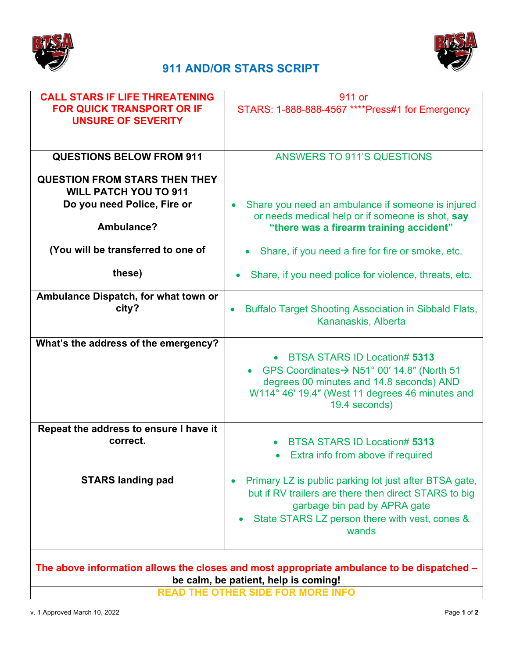



## **911 AND/OR STARS SCRIPT**

| <b>CALL STARS IF LIFE THREATENING</b>                                                     | 911 or                                                                    |
|-------------------------------------------------------------------------------------------|---------------------------------------------------------------------------|
| <b>FOR QUICK TRANSPORT OR IF</b>                                                          | STARS: 1-888-888-4567 **** Press#1 for Emergency                          |
| <b>UNSURE OF SEVERITY</b>                                                                 |                                                                           |
|                                                                                           |                                                                           |
|                                                                                           |                                                                           |
|                                                                                           |                                                                           |
| <b>QUESTIONS BELOW FROM 911</b>                                                           | <b>ANSWERS TO 911'S QUESTIONS</b>                                         |
|                                                                                           |                                                                           |
|                                                                                           |                                                                           |
| <b>QUESTION FROM STARS THEN THEY</b>                                                      |                                                                           |
| <b>WILL PATCH YOU TO 911</b>                                                              |                                                                           |
| Do you need Police, Fire or                                                               | Share you need an ambulance if someone is injured<br>$\bullet$            |
|                                                                                           | or needs medical help or if someone is shot, say                          |
| Ambulance?                                                                                |                                                                           |
|                                                                                           | "there was a firearm training accident"                                   |
|                                                                                           |                                                                           |
| (You will be transferred to one of                                                        | Share, if you need a fire for fire or smoke, etc.                         |
|                                                                                           |                                                                           |
| these)                                                                                    | Share, if you need police for violence, threats, etc.                     |
|                                                                                           |                                                                           |
|                                                                                           |                                                                           |
| Ambulance Dispatch, for what town or                                                      |                                                                           |
| city?                                                                                     | <b>Buffalo Target Shooting Association in Sibbald Flats,</b><br>$\bullet$ |
|                                                                                           | Kananaskis, Alberta                                                       |
|                                                                                           |                                                                           |
| What's the address of the emergency?                                                      |                                                                           |
|                                                                                           |                                                                           |
|                                                                                           | <b>BTSA STARS ID Location# 5313</b><br>$\bullet$                          |
|                                                                                           | GPS Coordinates → N51° 00' 14.8" (North 51                                |
|                                                                                           | degrees 00 minutes and 14.8 seconds) AND                                  |
|                                                                                           | W114° 46' 19.4" (West 11 degrees 46 minutes and                           |
|                                                                                           | 19.4 seconds)                                                             |
|                                                                                           |                                                                           |
|                                                                                           |                                                                           |
| Repeat the address to ensure I have it                                                    |                                                                           |
| correct.                                                                                  | <b>BTSA STARS ID Location# 5313</b>                                       |
|                                                                                           | Extra info from above if required                                         |
|                                                                                           |                                                                           |
|                                                                                           |                                                                           |
| <b>STARS landing pad</b>                                                                  | Primary LZ is public parking lot just after BTSA gate,<br>$\bullet$       |
|                                                                                           | but if RV trailers are there then direct STARS to big                     |
|                                                                                           | garbage bin pad by APRA gate                                              |
|                                                                                           |                                                                           |
|                                                                                           | State STARS LZ person there with vest, cones &                            |
|                                                                                           | wands                                                                     |
|                                                                                           |                                                                           |
|                                                                                           |                                                                           |
|                                                                                           |                                                                           |
| The above information allows the closes and most appropriate ambulance to be dispatched - |                                                                           |

**be calm, be patient, help is coming!**

**READ THE OTHER SIDE FOR MORE INFO**